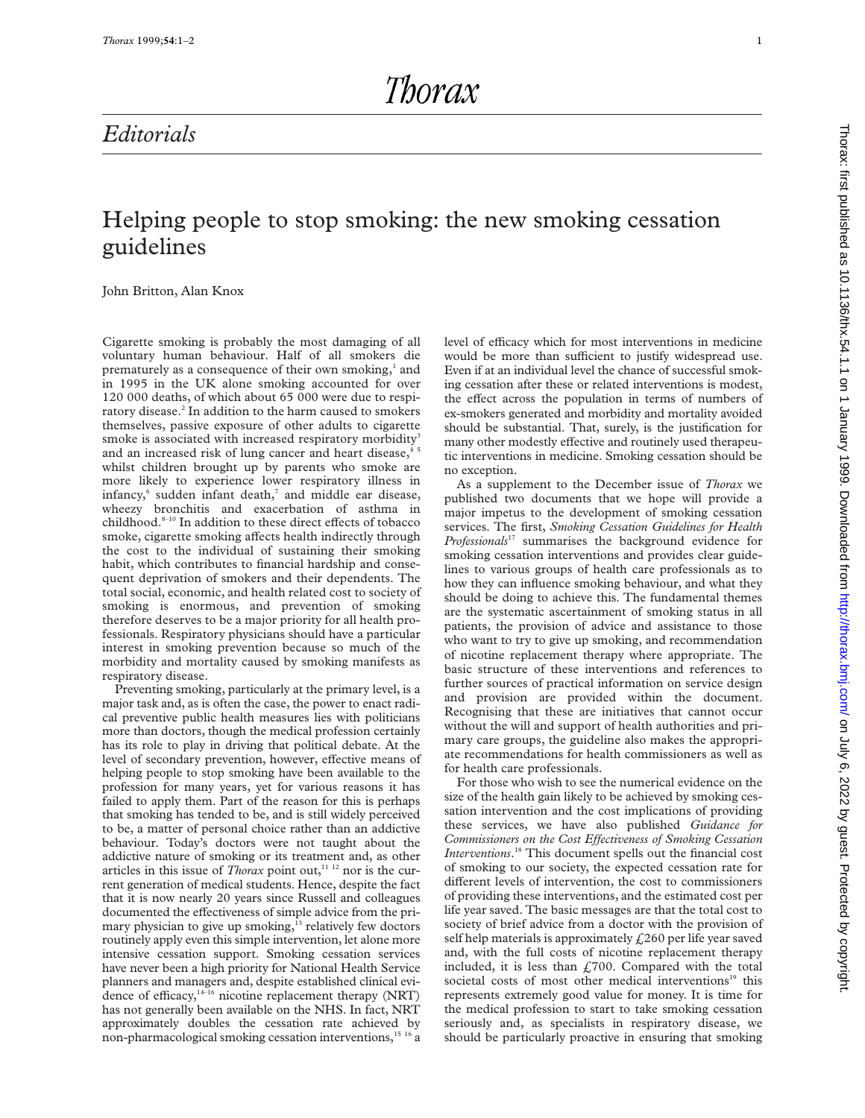Thorax

## *Editorials*

### Helping people to stop smoking: the new smoking cessation guidelines

John Britton, Alan Knox

Cigarette smoking is probably the most damaging of all voluntary human behaviour. Half of all smokers die prematurely as a consequence of their own smoking, $<sup>1</sup>$  and</sup> in 1995 in the UK alone smoking accounted for over 120 000 deaths, of which about 65 000 were due to respiratory disease.<sup>2</sup> In addition to the harm caused to smokers themselves, passive exposure of other adults to cigarette smoke is associated with increased respiratory morbidity<sup>3</sup> and an increased risk of lung cancer and heart disease,<sup>4</sup> whilst children brought up by parents who smoke are more likely to experience lower respiratory illness in infancy,<sup>6</sup> sudden infant death,<sup>7</sup> and middle ear disease, wheezy bronchitis and exacerbation of asthma in childhood.<sup>8-10</sup> In addition to these direct effects of tobacco smoke, cigarette smoking affects health indirectly through the cost to the individual of sustaining their smoking habit, which contributes to financial hardship and consequent deprivation of smokers and their dependents. The total social, economic, and health related cost to society of smoking is enormous, and prevention of smoking therefore deserves to be a major priority for all health professionals. Respiratory physicians should have a particular interest in smoking prevention because so much of the morbidity and mortality caused by smoking manifests as respiratory disease.

Preventing smoking, particularly at the primary level, is a major task and, as is often the case, the power to enact radical preventive public health measures lies with politicians more than doctors, though the medical profession certainly has its role to play in driving that political debate. At the level of secondary prevention, however, effective means of helping people to stop smoking have been available to the profession for many years, yet for various reasons it has failed to apply them. Part of the reason for this is perhaps that smoking has tended to be, and is still widely perceived to be, a matter of personal choice rather than an addictive behaviour. Today's doctors were not taught about the addictive nature of smoking or its treatment and, as other articles in this issue of *Thorax* point out,<sup>11 12</sup> nor is the current generation of medical students. Hence, despite the fact that it is now nearly 20 years since Russell and colleagues documented the effectiveness of simple advice from the primary physician to give up smoking,<sup>13</sup> relatively few doctors routinely apply even this simple intervention, let alone more intensive cessation support. Smoking cessation services have never been a high priority for National Health Service planners and managers and, despite established clinical evidence of efficacy, $14-16$  nicotine replacement therapy (NRT) has not generally been available on the NHS. In fact, NRT approximately doubles the cessation rate achieved by non-pharmacological smoking cessation interventions,<sup>15 16</sup> a

level of efficacy which for most interventions in medicine would be more than sufficient to justify widespread use. Even if at an individual level the chance of successful smoking cessation after these or related interventions is modest, the effect across the population in terms of numbers of ex-smokers generated and morbidity and mortality avoided should be substantial. That, surely, is the justification for many other modestly effective and routinely used therapeutic interventions in medicine. Smoking cessation should be no exception.

As a supplement to the December issue of *Thorax* we published two documents that we hope will provide a major impetus to the development of smoking cessation services. The first, *Smoking Cessation Guidelines for Health Professionals*<sup>17</sup> summarises the background evidence for smoking cessation interventions and provides clear guidelines to various groups of health care professionals as to how they can influence smoking behaviour, and what they should be doing to achieve this. The fundamental themes are the systematic ascertainment of smoking status in all patients, the provision of advice and assistance to those who want to try to give up smoking, and recommendation of nicotine replacement therapy where appropriate. The basic structure of these interventions and references to further sources of practical information on service design and provision are provided within the document. Recognising that these are initiatives that cannot occur without the will and support of health authorities and primary care groups, the guideline also makes the appropriate recommendations for health commissioners as well as for health care professionals.

For those who wish to see the numerical evidence on the size of the health gain likely to be achieved by smoking cessation intervention and the cost implications of providing these services, we have also published *Guidance for Commissioners on the Cost Effectiveness of Smoking Cessation Interventions*. <sup>18</sup> This document spells out the financial cost of smoking to our society, the expected cessation rate for different levels of intervention, the cost to commissioners of providing these interventions, and the estimated cost per life year saved. The basic messages are that the total cost to society of brief advice from a doctor with the provision of self help materials is approximately  $\text{\textsterling}260$  per life year saved and, with the full costs of nicotine replacement therapy included, it is less than  $£700$ . Compared with the total societal costs of most other medical interventions<sup>19</sup> this represents extremely good value for money. It is time for the medical profession to start to take smoking cessation seriously and, as specialists in respiratory disease, we should be particularly proactive in ensuring that smoking